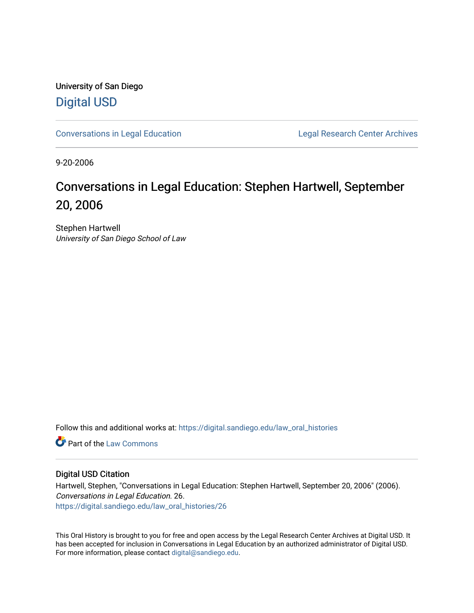University of San Diego [Digital USD](https://digital.sandiego.edu/)

[Conversations in Legal Education](https://digital.sandiego.edu/law_oral_histories) **Legal Research Center Archives** 

9-20-2006

## Conversations in Legal Education: Stephen Hartwell, September 20, 2006

Stephen Hartwell University of San Diego School of Law

Follow this and additional works at: [https://digital.sandiego.edu/law\\_oral\\_histories](https://digital.sandiego.edu/law_oral_histories?utm_source=digital.sandiego.edu%2Flaw_oral_histories%2F26&utm_medium=PDF&utm_campaign=PDFCoverPages) 

**C** Part of the [Law Commons](http://network.bepress.com/hgg/discipline/578?utm_source=digital.sandiego.edu%2Flaw_oral_histories%2F26&utm_medium=PDF&utm_campaign=PDFCoverPages)

## Digital USD Citation

Hartwell, Stephen, "Conversations in Legal Education: Stephen Hartwell, September 20, 2006" (2006). Conversations in Legal Education. 26. [https://digital.sandiego.edu/law\\_oral\\_histories/26](https://digital.sandiego.edu/law_oral_histories/26?utm_source=digital.sandiego.edu%2Flaw_oral_histories%2F26&utm_medium=PDF&utm_campaign=PDFCoverPages) 

This Oral History is brought to you for free and open access by the Legal Research Center Archives at Digital USD. It has been accepted for inclusion in Conversations in Legal Education by an authorized administrator of Digital USD. For more information, please contact [digital@sandiego.edu](mailto:digital@sandiego.edu).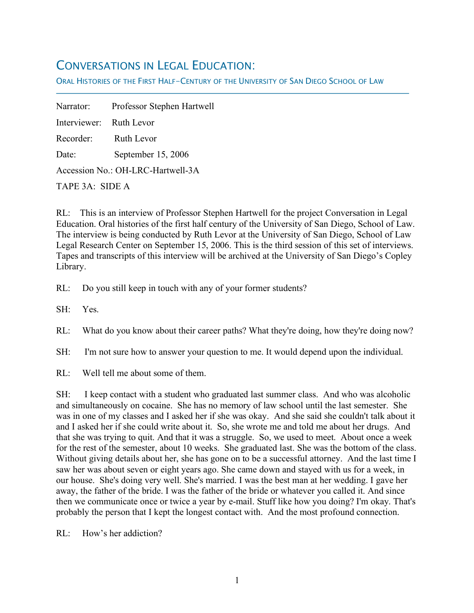## CONVERSATIONS IN LEGAL EDUCATION:

ORAL HISTORIES OF THE FIRST HALF-CENTURY OF THE UNIVERSITY OF SAN DIEGO SCHOOL OF LAW

Narrator: Professor Stephen Hartwell Interviewer: Ruth Levor Recorder: Ruth Levor Date: September 15, 2006 Accession No.: OH-LRC-Hartwell-3A TAPE 3A: SIDE A

RL: This is an interview of Professor Stephen Hartwell for the project Conversation in Legal Education. Oral histories of the first half century of the University of San Diego, School of Law. The interview is being conducted by Ruth Levor at the University of San Diego, School of Law Legal Research Center on September 15, 2006. This is the third session of this set of interviews. Tapes and transcripts of this interview will be archived at the University of San Diego's Copley Library.

RL: Do you still keep in touch with any of your former students?

SH: Yes.

f

RL: What do you know about their career paths? What they're doing, how they're doing now?

SH: I'm not sure how to answer your question to me. It would depend upon the individual.

RL: Well tell me about some of them.

SH: I keep contact with a student who graduated last summer class. And who was alcoholic and simultaneously on cocaine. She has no memory of law school until the last semester. She was in one of my classes and I asked her if she was okay. And she said she couldn't talk about it and I asked her if she could write about it. So, she wrote me and told me about her drugs. And that she was trying to quit. And that it was a struggle. So, we used to meet. About once a week for the rest of the semester, about 10 weeks. She graduated last. She was the bottom of the class. Without giving details about her, she has gone on to be a successful attorney. And the last time I saw her was about seven or eight years ago. She came down and stayed with us for a week, in our house. She's doing very well. She's married. I was the best man at her wedding. I gave her away, the father of the bride. I was the father of the bride or whatever you called it. And since then we communicate once or twice a year by e-mail. Stuff like how you doing? I'm okay. That's probably the person that I kept the longest contact with. And the most profound connection.

RL: How's her addiction?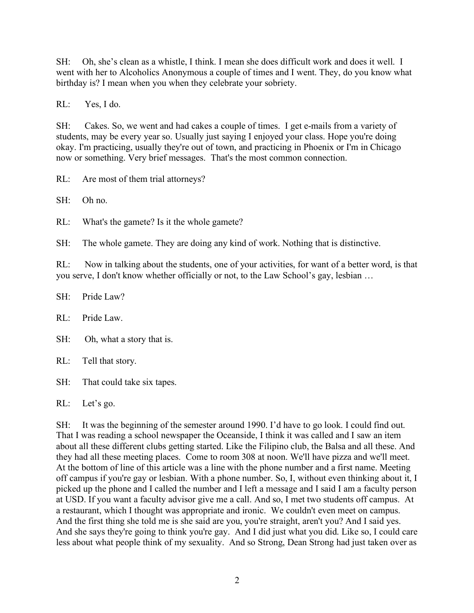SH: Oh, she's clean as a whistle, I think. I mean she does difficult work and does it well. I went with her to Alcoholics Anonymous a couple of times and I went. They, do you know what birthday is? I mean when you when they celebrate your sobriety.

RL: Yes, I do.

SH: Cakes. So, we went and had cakes a couple of times. I get e-mails from a variety of students, may be every year so. Usually just saying I enjoyed your class. Hope you're doing okay. I'm practicing, usually they're out of town, and practicing in Phoenix or I'm in Chicago now or something. Very brief messages. That's the most common connection.

RL: Are most of them trial attorneys?

SH: Oh no.

RL: What's the gamete? Is it the whole gamete?

SH: The whole gamete. They are doing any kind of work. Nothing that is distinctive.

RL: Now in talking about the students, one of your activities, for want of a better word, is that you serve, I don't know whether officially or not, to the Law School's gay, lesbian …

SH: Pride Law?

RL: Pride Law.

SH: Oh, what a story that is.

RL: Tell that story.

SH: That could take six tapes.

RL: Let's go.

SH: It was the beginning of the semester around 1990. I'd have to go look. I could find out. That I was reading a school newspaper the Oceanside, I think it was called and I saw an item about all these different clubs getting started. Like the Filipino club, the Balsa and all these. And they had all these meeting places. Come to room 308 at noon. We'll have pizza and we'll meet. At the bottom of line of this article was a line with the phone number and a first name. Meeting off campus if you're gay or lesbian. With a phone number. So, I, without even thinking about it, I picked up the phone and I called the number and I left a message and I said I am a faculty person at USD. If you want a faculty advisor give me a call. And so, I met two students off campus. At a restaurant, which I thought was appropriate and ironic. We couldn't even meet on campus. And the first thing she told me is she said are you, you're straight, aren't you? And I said yes. And she says they're going to think you're gay. And I did just what you did. Like so, I could care less about what people think of my sexuality. And so Strong, Dean Strong had just taken over as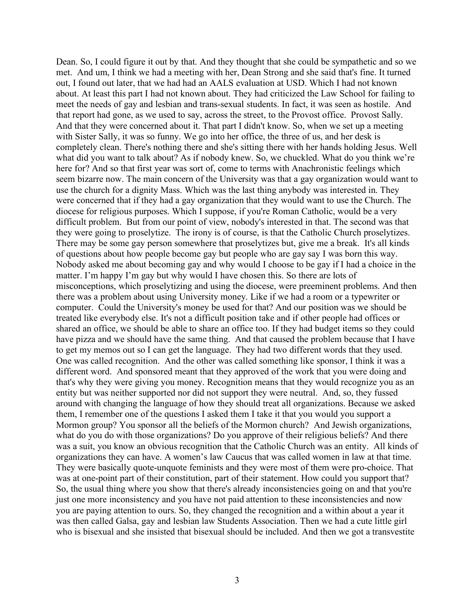Dean. So, I could figure it out by that. And they thought that she could be sympathetic and so we met. And um, I think we had a meeting with her, Dean Strong and she said that's fine. It turned out, I found out later, that we had had an AALS evaluation at USD. Which I had not known about. At least this part I had not known about. They had criticized the Law School for failing to meet the needs of gay and lesbian and trans-sexual students. In fact, it was seen as hostile. And that report had gone, as we used to say, across the street, to the Provost office. Provost Sally. And that they were concerned about it. That part I didn't know. So, when we set up a meeting with Sister Sally, it was so funny. We go into her office, the three of us, and her desk is completely clean. There's nothing there and she's sitting there with her hands holding Jesus. Well what did you want to talk about? As if nobody knew. So, we chuckled. What do you think we're here for? And so that first year was sort of, come to terms with Anachronistic feelings which seem bizarre now. The main concern of the University was that a gay organization would want to use the church for a dignity Mass. Which was the last thing anybody was interested in. They were concerned that if they had a gay organization that they would want to use the Church. The diocese for religious purposes. Which I suppose, if you're Roman Catholic, would be a very difficult problem. But from our point of view, nobody's interested in that. The second was that they were going to proselytize. The irony is of course, is that the Catholic Church proselytizes. There may be some gay person somewhere that proselytizes but, give me a break. It's all kinds of questions about how people become gay but people who are gay say I was born this way. Nobody asked me about becoming gay and why would I choose to be gay if I had a choice in the matter. I'm happy I'm gay but why would I have chosen this. So there are lots of misconceptions, which proselytizing and using the diocese, were preeminent problems. And then there was a problem about using University money. Like if we had a room or a typewriter or computer. Could the University's money be used for that? And our position was we should be treated like everybody else. It's not a difficult position take and if other people had offices or shared an office, we should be able to share an office too. If they had budget items so they could have pizza and we should have the same thing. And that caused the problem because that I have to get my memos out so I can get the language. They had two different words that they used. One was called recognition. And the other was called something like sponsor, I think it was a different word. And sponsored meant that they approved of the work that you were doing and that's why they were giving you money. Recognition means that they would recognize you as an entity but was neither supported nor did not support they were neutral. And, so, they fussed around with changing the language of how they should treat all organizations. Because we asked them, I remember one of the questions I asked them I take it that you would you support a Mormon group? You sponsor all the beliefs of the Mormon church? And Jewish organizations, what do you do with those organizations? Do you approve of their religious beliefs? And there was a suit, you know an obvious recognition that the Catholic Church was an entity. All kinds of organizations they can have. A women's law Caucus that was called women in law at that time. They were basically quote-unquote feminists and they were most of them were pro-choice. That was at one-point part of their constitution, part of their statement. How could you support that? So, the usual thing where you show that there's already inconsistencies going on and that you're just one more inconsistency and you have not paid attention to these inconsistencies and now you are paying attention to ours. So, they changed the recognition and a within about a year it was then called Galsa, gay and lesbian law Students Association. Then we had a cute little girl who is bisexual and she insisted that bisexual should be included. And then we got a transvestite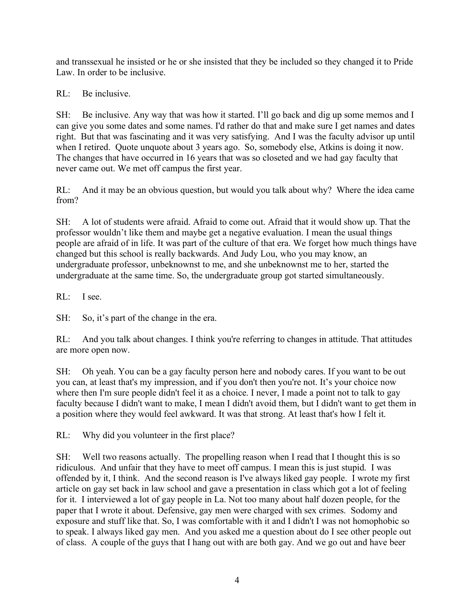and transsexual he insisted or he or she insisted that they be included so they changed it to Pride Law. In order to be inclusive.

RL: Be inclusive.

SH: Be inclusive. Any way that was how it started. I'll go back and dig up some memos and I can give you some dates and some names. I'd rather do that and make sure I get names and dates right. But that was fascinating and it was very satisfying. And I was the faculty advisor up until when I retired. Quote unquote about 3 years ago. So, somebody else, Atkins is doing it now. The changes that have occurred in 16 years that was so closeted and we had gay faculty that never came out. We met off campus the first year.

RL: And it may be an obvious question, but would you talk about why? Where the idea came from?

SH: A lot of students were afraid. Afraid to come out. Afraid that it would show up. That the professor wouldn't like them and maybe get a negative evaluation. I mean the usual things people are afraid of in life. It was part of the culture of that era. We forget how much things have changed but this school is really backwards. And Judy Lou, who you may know, an undergraduate professor, unbeknownst to me, and she unbeknownst me to her, started the undergraduate at the same time. So, the undergraduate group got started simultaneously.

RL: I see.

SH: So, it's part of the change in the era.

RL: And you talk about changes. I think you're referring to changes in attitude. That attitudes are more open now.

SH: Oh yeah. You can be a gay faculty person here and nobody cares. If you want to be out you can, at least that's my impression, and if you don't then you're not. It's your choice now where then I'm sure people didn't feel it as a choice. I never, I made a point not to talk to gay faculty because I didn't want to make, I mean I didn't avoid them, but I didn't want to get them in a position where they would feel awkward. It was that strong. At least that's how I felt it.

RL: Why did you volunteer in the first place?

SH: Well two reasons actually. The propelling reason when I read that I thought this is so ridiculous. And unfair that they have to meet off campus. I mean this is just stupid. I was offended by it, I think. And the second reason is I've always liked gay people. I wrote my first article on gay set back in law school and gave a presentation in class which got a lot of feeling for it. I interviewed a lot of gay people in La. Not too many about half dozen people, for the paper that I wrote it about. Defensive, gay men were charged with sex crimes. Sodomy and exposure and stuff like that. So, I was comfortable with it and I didn't I was not homophobic so to speak. I always liked gay men. And you asked me a question about do I see other people out of class. A couple of the guys that I hang out with are both gay. And we go out and have beer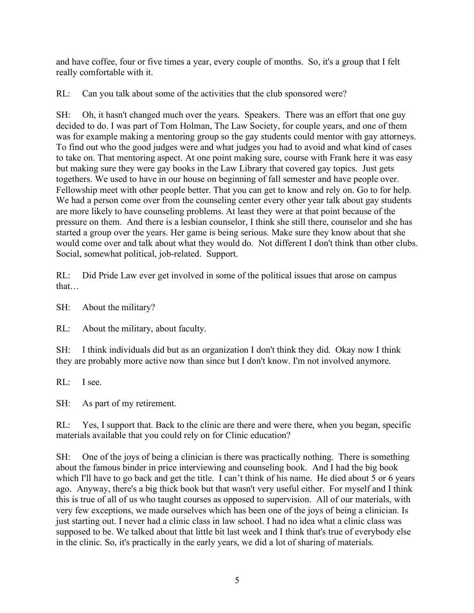and have coffee, four or five times a year, every couple of months. So, it's a group that I felt really comfortable with it.

RL: Can you talk about some of the activities that the club sponsored were?

SH: Oh, it hasn't changed much over the years. Speakers. There was an effort that one guy decided to do. I was part of Tom Holman, The Law Society, for couple years, and one of them was for example making a mentoring group so the gay students could mentor with gay attorneys. To find out who the good judges were and what judges you had to avoid and what kind of cases to take on. That mentoring aspect. At one point making sure, course with Frank here it was easy but making sure they were gay books in the Law Library that covered gay topics. Just gets togethers. We used to have in our house on beginning of fall semester and have people over. Fellowship meet with other people better. That you can get to know and rely on. Go to for help. We had a person come over from the counseling center every other year talk about gay students are more likely to have counseling problems. At least they were at that point because of the pressure on them. And there is a lesbian counselor, I think she still there, counselor and she has started a group over the years. Her game is being serious. Make sure they know about that she would come over and talk about what they would do. Not different I don't think than other clubs. Social, somewhat political, job-related. Support.

RL: Did Pride Law ever get involved in some of the political issues that arose on campus that…

SH: About the military?

RL: About the military, about faculty.

SH: I think individuals did but as an organization I don't think they did. Okay now I think they are probably more active now than since but I don't know. I'm not involved anymore.

RL: I see.

SH: As part of my retirement.

RL: Yes, I support that. Back to the clinic are there and were there, when you began, specific materials available that you could rely on for Clinic education?

SH: One of the joys of being a clinician is there was practically nothing. There is something about the famous binder in price interviewing and counseling book. And I had the big book which I'll have to go back and get the title. I can't think of his name. He died about 5 or 6 years ago. Anyway, there's a big thick book but that wasn't very useful either. For myself and I think this is true of all of us who taught courses as opposed to supervision. All of our materials, with very few exceptions, we made ourselves which has been one of the joys of being a clinician. Is just starting out. I never had a clinic class in law school. I had no idea what a clinic class was supposed to be. We talked about that little bit last week and I think that's true of everybody else in the clinic. So, it's practically in the early years, we did a lot of sharing of materials.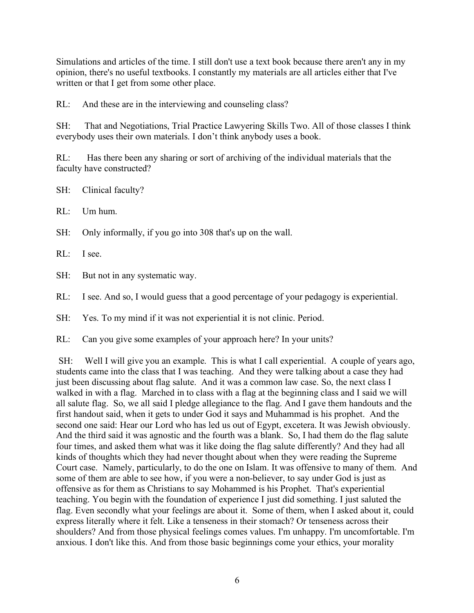Simulations and articles of the time. I still don't use a text book because there aren't any in my opinion, there's no useful textbooks. I constantly my materials are all articles either that I've written or that I get from some other place.

RL: And these are in the interviewing and counseling class?

SH: That and Negotiations, Trial Practice Lawyering Skills Two. All of those classes I think everybody uses their own materials. I don't think anybody uses a book.

RL: Has there been any sharing or sort of archiving of the individual materials that the faculty have constructed?

SH: Clinical faculty?

RL: Um hum.

SH: Only informally, if you go into 308 that's up on the wall.

RL: I see.

SH: But not in any systematic way.

RL: I see. And so, I would guess that a good percentage of your pedagogy is experiential.

SH: Yes. To my mind if it was not experiential it is not clinic. Period.

RL: Can you give some examples of your approach here? In your units?

SH: Well I will give you an example. This is what I call experiential. A couple of years ago, students came into the class that I was teaching. And they were talking about a case they had just been discussing about flag salute. And it was a common law case. So, the next class I walked in with a flag. Marched in to class with a flag at the beginning class and I said we will all salute flag. So, we all said I pledge allegiance to the flag. And I gave them handouts and the first handout said, when it gets to under God it says and Muhammad is his prophet. And the second one said: Hear our Lord who has led us out of Egypt, excetera. It was Jewish obviously. And the third said it was agnostic and the fourth was a blank. So, I had them do the flag salute four times, and asked them what was it like doing the flag salute differently? And they had all kinds of thoughts which they had never thought about when they were reading the Supreme Court case. Namely, particularly, to do the one on Islam. It was offensive to many of them. And some of them are able to see how, if you were a non-believer, to say under God is just as offensive as for them as Christians to say Mohammed is his Prophet. That's experiential teaching. You begin with the foundation of experience I just did something. I just saluted the flag. Even secondly what your feelings are about it. Some of them, when I asked about it, could express literally where it felt. Like a tenseness in their stomach? Or tenseness across their shoulders? And from those physical feelings comes values. I'm unhappy. I'm uncomfortable. I'm anxious. I don't like this. And from those basic beginnings come your ethics, your morality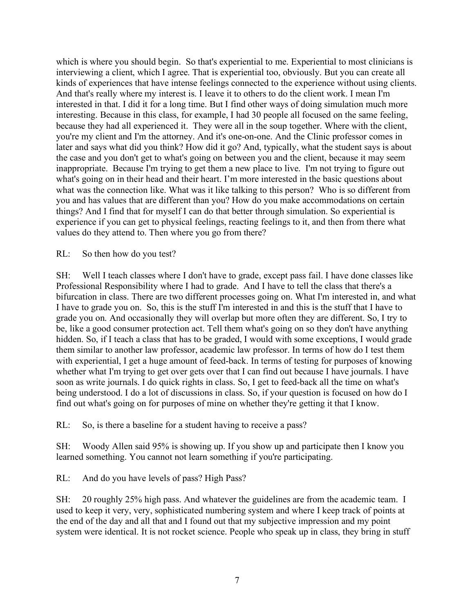which is where you should begin. So that's experiential to me. Experiential to most clinicians is interviewing a client, which I agree. That is experiential too, obviously. But you can create all kinds of experiences that have intense feelings connected to the experience without using clients. And that's really where my interest is. I leave it to others to do the client work. I mean I'm interested in that. I did it for a long time. But I find other ways of doing simulation much more interesting. Because in this class, for example, I had 30 people all focused on the same feeling, because they had all experienced it. They were all in the soup together. Where with the client, you're my client and I'm the attorney. And it's one-on-one. And the Clinic professor comes in later and says what did you think? How did it go? And, typically, what the student says is about the case and you don't get to what's going on between you and the client, because it may seem inappropriate. Because I'm trying to get them a new place to live. I'm not trying to figure out what's going on in their head and their heart. I'm more interested in the basic questions about what was the connection like. What was it like talking to this person? Who is so different from you and has values that are different than you? How do you make accommodations on certain things? And I find that for myself I can do that better through simulation. So experiential is experience if you can get to physical feelings, reacting feelings to it, and then from there what values do they attend to. Then where you go from there?

RL: So then how do you test?

SH: Well I teach classes where I don't have to grade, except pass fail. I have done classes like Professional Responsibility where I had to grade. And I have to tell the class that there's a bifurcation in class. There are two different processes going on. What I'm interested in, and what I have to grade you on. So, this is the stuff I'm interested in and this is the stuff that I have to grade you on. And occasionally they will overlap but more often they are different. So, I try to be, like a good consumer protection act. Tell them what's going on so they don't have anything hidden. So, if I teach a class that has to be graded, I would with some exceptions, I would grade them similar to another law professor, academic law professor. In terms of how do I test them with experiential, I get a huge amount of feed-back. In terms of testing for purposes of knowing whether what I'm trying to get over gets over that I can find out because I have journals. I have soon as write journals. I do quick rights in class. So, I get to feed-back all the time on what's being understood. I do a lot of discussions in class. So, if your question is focused on how do I find out what's going on for purposes of mine on whether they're getting it that I know.

RL: So, is there a baseline for a student having to receive a pass?

SH: Woody Allen said 95% is showing up. If you show up and participate then I know you learned something. You cannot not learn something if you're participating.

RL: And do you have levels of pass? High Pass?

SH: 20 roughly 25% high pass. And whatever the guidelines are from the academic team. I used to keep it very, very, sophisticated numbering system and where I keep track of points at the end of the day and all that and I found out that my subjective impression and my point system were identical. It is not rocket science. People who speak up in class, they bring in stuff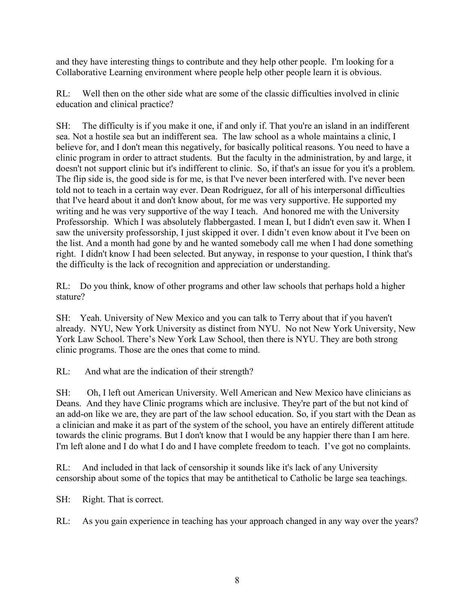and they have interesting things to contribute and they help other people. I'm looking for a Collaborative Learning environment where people help other people learn it is obvious.

RL: Well then on the other side what are some of the classic difficulties involved in clinic education and clinical practice?

SH: The difficulty is if you make it one, if and only if. That you're an island in an indifferent sea. Not a hostile sea but an indifferent sea. The law school as a whole maintains a clinic, I believe for, and I don't mean this negatively, for basically political reasons. You need to have a clinic program in order to attract students. But the faculty in the administration, by and large, it doesn't not support clinic but it's indifferent to clinic. So, if that's an issue for you it's a problem. The flip side is, the good side is for me, is that I've never been interfered with. I've never been told not to teach in a certain way ever. Dean Rodriguez, for all of his interpersonal difficulties that I've heard about it and don't know about, for me was very supportive. He supported my writing and he was very supportive of the way I teach. And honored me with the University Professorship. Which I was absolutely flabbergasted. I mean I, but I didn't even saw it. When I saw the university professorship, I just skipped it over. I didn't even know about it I've been on the list. And a month had gone by and he wanted somebody call me when I had done something right. I didn't know I had been selected. But anyway, in response to your question, I think that's the difficulty is the lack of recognition and appreciation or understanding.

RL: Do you think, know of other programs and other law schools that perhaps hold a higher stature?

SH: Yeah. University of New Mexico and you can talk to Terry about that if you haven't already. NYU, New York University as distinct from NYU. No not New York University, New York Law School. There's New York Law School, then there is NYU. They are both strong clinic programs. Those are the ones that come to mind.

RL: And what are the indication of their strength?

SH: Oh, I left out American University. Well American and New Mexico have clinicians as Deans. And they have Clinic programs which are inclusive. They're part of the but not kind of an add-on like we are, they are part of the law school education. So, if you start with the Dean as a clinician and make it as part of the system of the school, you have an entirely different attitude towards the clinic programs. But I don't know that I would be any happier there than I am here. I'm left alone and I do what I do and I have complete freedom to teach. I've got no complaints.

RL: And included in that lack of censorship it sounds like it's lack of any University censorship about some of the topics that may be antithetical to Catholic be large sea teachings.

SH: Right. That is correct.

RL: As you gain experience in teaching has your approach changed in any way over the years?